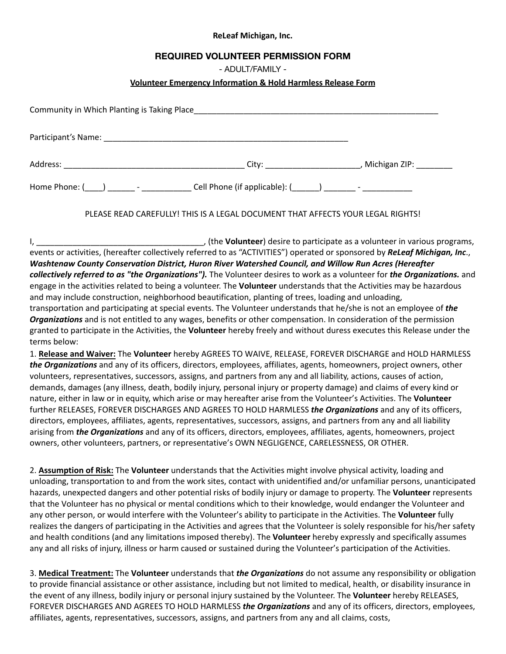## **ReLeaf Michigan, Inc.**

## **REQUIRED VOLUNTEER PERMISSION FORM**

- ADULT/FAMILY -

## **Volunteer Emergency Information & Hold Harmless Release Form**

| Community in Which Planting is Taking Place        |                                                                                                                                                                                                                                |                 |
|----------------------------------------------------|--------------------------------------------------------------------------------------------------------------------------------------------------------------------------------------------------------------------------------|-----------------|
| Participant's Name:                                | <u> 1990 - Jan James James James James James James James James James James James James James James James James J</u>                                                                                                           |                 |
| Address:                                           | City: the contract of the contract of the contract of the contract of the contract of the contract of the contract of the contract of the contract of the contract of the contract of the contract of the contract of the cont | , Michigan ZIP: |
| Home Phone: (<br>and the state of the state of the |                                                                                                                                                                                                                                |                 |

PLEASE READ CAREFULLY! THIS IS A LEGAL DOCUMENT THAT AFFECTS YOUR LEGAL RIGHTS!

I, **I** and the **Volunteer**) desire to participate as a volunteer in various programs, events or activities, (hereafter collectively referred to as "ACTIVITIES") operated or sponsored by *ReLeaf Michigan, Inc*., *Washtenaw County Conservation District, Huron River Watershed Council, and Willow Run Acres (Hereafter collectively referred to as "the Organizations").* The Volunteer desires to work as a volunteer for *the Organizations.* and engage in the activities related to being a volunteer. The **Volunteer** understands that the Activities may be hazardous and may include construction, neighborhood beautification, planting of trees, loading and unloading, transportation and participating at special events. The Volunteer understands that he/she is not an employee of *the Organizations* and is not entitled to any wages, benefits or other compensation. In consideration of the permission granted to participate in the Activities, the **Volunteer** hereby freely and without duress executes this Release under the terms below:

1. **Release and Waiver:** The **Volunteer** hereby AGREES TO WAIVE, RELEASE, FOREVER DISCHARGE and HOLD HARMLESS *the Organizations* and any of its officers, directors, employees, affiliates, agents, homeowners, project owners, other volunteers, representatives, successors, assigns, and partners from any and all liability, actions, causes of action, demands, damages (any illness, death, bodily injury, personal injury or property damage) and claims of every kind or nature, either in law or in equity, which arise or may hereafter arise from the Volunteer's Activities. The **Volunteer** further RELEASES, FOREVER DISCHARGES AND AGREES TO HOLD HARMLESS *the Organizations* and any of its officers, directors, employees, affiliates, agents, representatives, successors, assigns, and partners from any and all liability arising from *the Organizations* and any of its officers, directors, employees, affiliates, agents, homeowners, project owners, other volunteers, partners, or representative's OWN NEGLIGENCE, CARELESSNESS, OR OTHER.

2. **Assumption of Risk:** The **Volunteer** understands that the Activities might involve physical activity, loading and unloading, transportation to and from the work sites, contact with unidentified and/or unfamiliar persons, unanticipated hazards, unexpected dangers and other potential risks of bodily injury or damage to property. The **Volunteer** represents that the Volunteer has no physical or mental conditions which to their knowledge, would endanger the Volunteer and any other person, or would interfere with the Volunteer's ability to participate in the Activities. The **Volunteer** fully realizes the dangers of participating in the Activities and agrees that the Volunteer is solely responsible for his/her safety and health conditions (and any limitations imposed thereby). The **Volunteer** hereby expressly and specifically assumes any and all risks of injury, illness or harm caused or sustained during the Volunteer's participation of the Activities.

3. **Medical Treatment:** The **Volunteer** understands that *the Organizations* do not assume any responsibility or obligation to provide financial assistance or other assistance, including but not limited to medical, health, or disability insurance in the event of any illness, bodily injury or personal injury sustained by the Volunteer. The **Volunteer** hereby RELEASES, FOREVER DISCHARGES AND AGREES TO HOLD HARMLESS *the Organizations* and any of its officers, directors, employees, affiliates, agents, representatives, successors, assigns, and partners from any and all claims, costs,